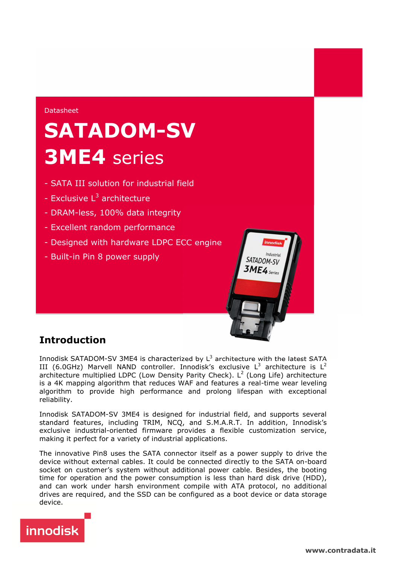#### Datasheet

# **SATADOM-SV 3ME4** series

- SATA III solution for industrial field
- Exclusive L<sup>3</sup> architecture
- DRAM-less, 100% data integrity
- Excellent random performance
- Designed with hardware LDPC ECC engine
- Built-in Pin 8 power supply



# **Introduction**

Innodisk SATADOM-SV 3ME4 is characterized by  $L^3$  architecture with the latest SATA III (6.0GHz) Marvell NAND controller. Innodisk's exclusive  $L^3$  architecture is  $L^2$ architecture multiplied LDPC (Low Density Parity Check). L<sup>2</sup> (Long Life) architecture is a 4K mapping algorithm that reduces WAF and features a real-time wear leveling algorithm to provide high performance and prolong lifespan with exceptional reliability.

Innodisk SATADOM-SV 3ME4 is designed for industrial field, and supports several standard features, including TRIM, NCQ, and S.M.A.R.T. In addition, Innodisk's exclusive industrial-oriented firmware provides a flexible customization service, making it perfect for a variety of industrial applications.

The innovative Pin8 uses the SATA connector itself as a power supply to drive the device without external cables. It could be connected directly to the SATA on-board socket on customer's system without additional power cable. Besides, the booting time for operation and the power consumption is less than hard disk drive (HDD), and can work under harsh environment compile with ATA protocol, no additional drives are required, and the SSD can be configured as a boot device or data storage device.